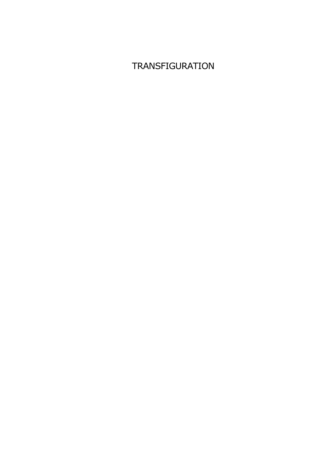## **TRANSFIGURATION**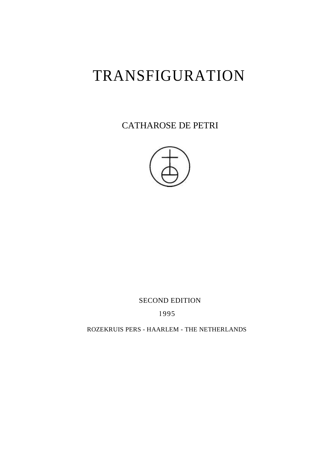# TRANSFIGURATION

CATHAROSE DE PETRI



SECOND EDITION

1995

ROZEKRUIS PERS - HAARLEM - THE NETHERLANDS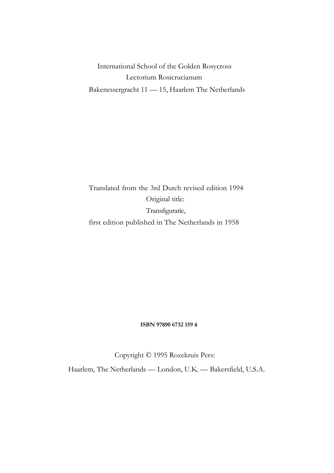International School of the Golden Rosycross Lectorium Rosicrucianum Bakenessergracht 11 — 15, Haarlem The Netherlands

Translated from the 3rd Dutch revised edition 1994 Original title: Transfiguratie, first edition published in The Netherlands in 1958

#### **ISBN 9**789**0 6732 159** 4

Copyright © 1995 Rozekruis Pers:

Haarlem, The Netherlands — London, U.K. — Bakersfield, U.S.A.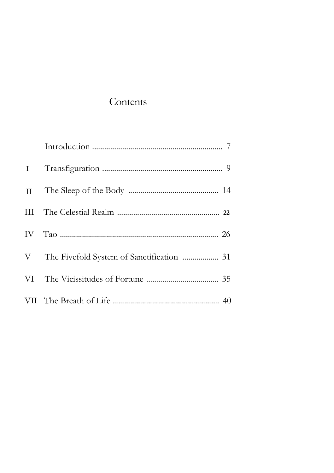### Contents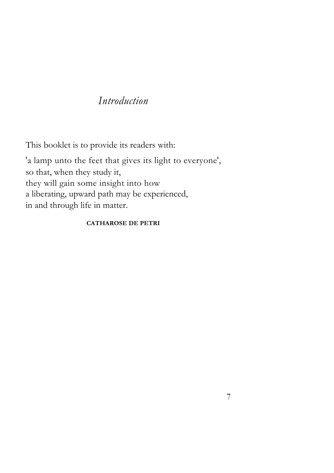#### *Introduction*

This booklet is to provide its readers with:

'a lamp unto the feet that gives its light to everyone', so that, when they study it, they will gain some insight into how a liberating, upward path may be experienced, in and through life in matter.

#### **CATHAROSE DE PETRI**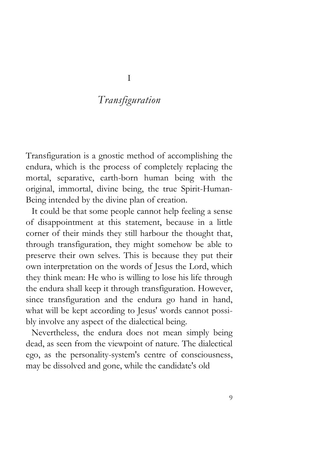#### *Transfiguration*

Transfiguration is a gnostic method of accomplishing the endura, which is the process of completely replacing the mortal, separative, earth-born human being with the original, immortal, divine being, the true Spirit-Human-Being intended by the divine plan of creation.

It could be that some people cannot help feeling a sense of disappointment at this statement, because in a little corner of their minds they still harbour the thought that, through transfiguration, they might somehow be able to preserve their own selves. This is because they put their own interpretation on the words of Jesus the Lord, which they think mean: He who is willing to lose his life through the endura shall keep it through transfiguration. However, since transfiguration and the endura go hand in hand, what will be kept according to Jesus' words cannot possibly involve any aspect of the dialectical being.

Nevertheless, the endura does not mean simply being dead, as seen from the viewpoint of nature. The dialectical ego, as the personality-system's centre of consciousness, may be dissolved and gone, while the candidate's old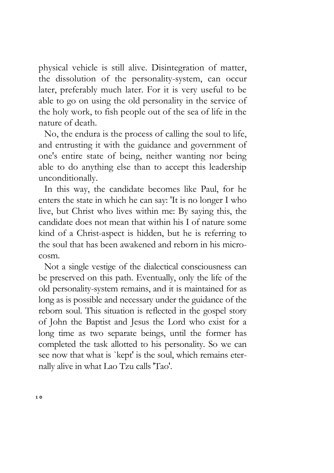physical vehicle is still alive. Disintegration of matter, the dissolution of the personality-system, can occur later, preferably much later. For it is very useful to be able to go on using the old personality in the service of the holy work, to fish people out of the sea of life in the nature of death.

No, the endura is the process of calling the soul to life, and entrusting it with the guidance and government of one's entire state of being, neither wanting nor being able to do anything else than to accept this leadership unconditionally.

In this way, the candidate becomes like Paul, for he enters the state in which he can say: 'It is no longer I who live, but Christ who lives within me: By saying this, the candidate does not mean that within his I of nature some kind of a Christ-aspect is hidden, but he is referring to the soul that has been awakened and reborn in his microcosm.

Not a single vestige of the dialectical consciousness can be preserved on this path. Eventually, only the life of the old personality-system remains, and it is maintained for as long as is possible and necessary under the guidance of the reborn soul. This situation is reflected in the gospel story of John the Baptist and Jesus the Lord who exist for a long time as two separate beings, until the former has completed the task allotted to his personality. So we can see now that what is `kept' is the soul, which remains eternally alive in what Lao Tzu calls 'Tao'.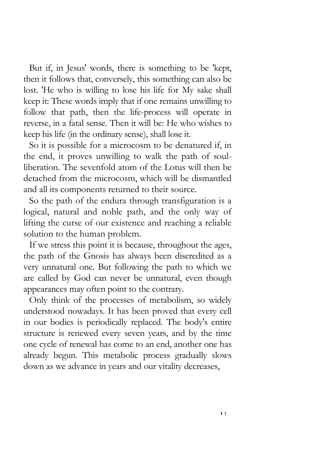But if, in Jesus' words, there is something to be 'kept, then it follows that, conversely, this something can also be lost. 'He who is willing to lose his life for My sake shall keep it: These words imply that if one remains unwilling to follow that path, then the life-process will operate in reverse, in a fatal sense. Then it will be: He who wishes to keep his life (in the ordinary sense), shall lose it.

So it is possible for a microcosm to be denatured if, in the end, it proves unwilling to walk the path of soulliberation. The sevenfold atom of the Lotus will then be detached from the microcosm, which will be dismantled and all its components returned to their source.

So the path of the endura through transfiguration is a logical, natural and noble path, and the only way of lifting the curse of our existence and reaching a reliable solution to the human problem.

If we stress this point it is because, throughout the ages, the path of the Gnosis has always been discredited as a very unnatural one. But following the path to which we are called by God can never be unnatural, even though appearances may often point to the contrary.

Only think of the processes of metabolism, so widely understood nowadays. It has been proved that every cell in our bodies is periodically replaced. The body's entire structure is renewed every seven years, and by the time one cycle of renewal has come to an end, another one has already begun. This metabolic process gradually slows down as we advance in years and our vitality decreases,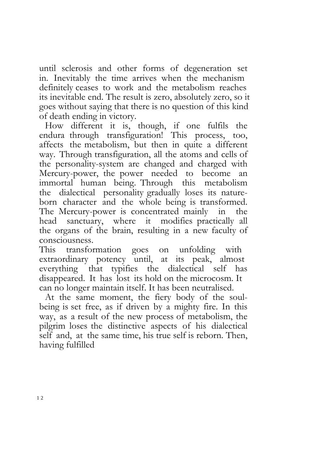until sclerosis and other forms of degeneration set in. Inevitably the time arrives when the mechanism definitely ceases to work and the metabolism reaches its inevitable end. The result is zero, absolutely zero, so it goes without saying that there is no question of this kind of death ending in victory.

How different it is, though, if one fulfils the endura through transfiguration! This process, too, affects the metabolism, but then in quite a different way. Through transfiguration, all the atoms and cells of the personality-system are changed and charged with Mercury-power, the power needed to become an immortal human being. Through this metabolism the dialectical personality gradually loses its natureborn character and the whole being is transformed. The Mercury-power is concentrated mainly in the head sanctuary, where it modifies practically all the organs of the brain, resulting in a new faculty of consciousness.

This transformation goes on unfolding with extraordinary potency until, at its peak, almost everything that typifies the dialectical self has disappeared. It has lost its hold on the microcosm. It can no longer maintain itself. It has been neutralised.

At the same moment, the fiery body of the soulbeing is set free, as if driven by a mighty fire. In this way, as a result of the new process of metabolism, the pilgrim loses the distinctive aspects of his dialectical self and, at the same time, his true self is reborn. Then, having fulfilled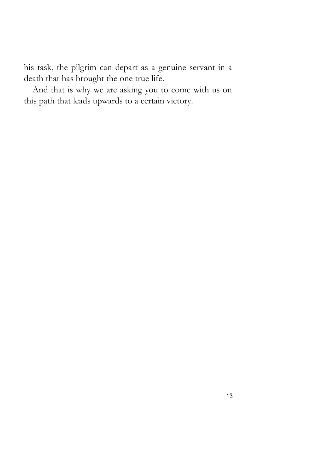his task, the pilgrim can depart as a genuine servant in a death that has brought the one true life.

And that is why we are asking you to come with us on this path that leads upwards to a certain victory.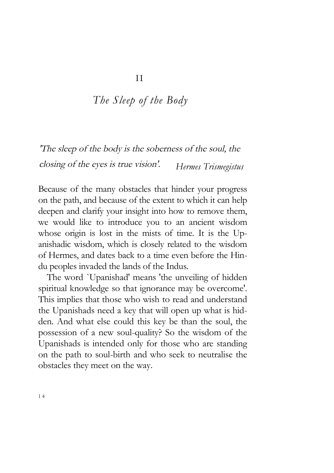#### *The Sleep of the Body*

'The sleep of the body is the soberness of the soul, the closing of the eyes is true vision'. *Hermes Trismegistus* 

Because of the many obstacles that hinder your progress on the path, and because of the extent to which it can help deepen and clarify your insight into how to remove them, we would like to introduce you to an ancient wisdom whose origin is lost in the mists of time. It is the Upanishadic wisdom, which is closely related to the wisdom of Hermes, and dates back to a time even before the Hindu peoples invaded the lands of the Indus.

The word `Upanishad' means 'the unveiling of hidden spiritual knowledge so that ignorance may be overcome'. This implies that those who wish to read and understand the Upanishads need a key that will open up what is hidden. And what else could this key be than the soul, the possession of a new soul-quality? So the wisdom of the Upanishads is intended only for those who are standing on the path to soul-birth and who seek to neutralise the obstacles they meet on the way.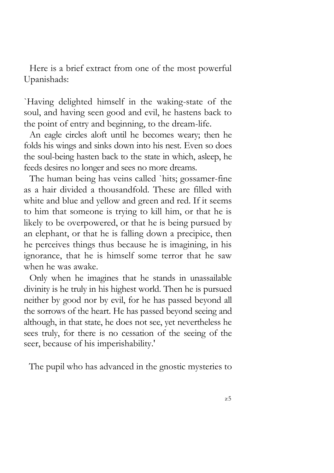Here is a brief extract from one of the most powerful Upanishads:

`Having delighted himself in the waking-state of the soul, and having seen good and evil, he hastens back to the point of entry and beginning, to the dream-life.

An eagle circles aloft until he becomes weary; then he folds his wings and sinks down into his nest. Even so does the soul-being hasten back to the state in which, asleep, he feeds desires no longer and sees no more dreams.

The human being has veins called `hits; gossamer-fine as a hair divided a thousandfold. These are filled with white and blue and yellow and green and red. If it seems to him that someone is trying to kill him, or that he is likely to be overpowered, or that he is being pursued by an elephant, or that he is falling down a precipice, then he perceives things thus because he is imagining, in his ignorance, that he is himself some terror that he saw when he was awake.

Only when he imagines that he stands in unassailable divinity is he truly in his highest world. Then he is pursued neither by good nor by evil, for he has passed beyond all the sorrows of the heart. He has passed beyond seeing and although, in that state, he does not see, yet nevertheless he sees truly, for there is no cessation of the seeing of the seer, because of his imperishability.'

The pupil who has advanced in the gnostic mysteries to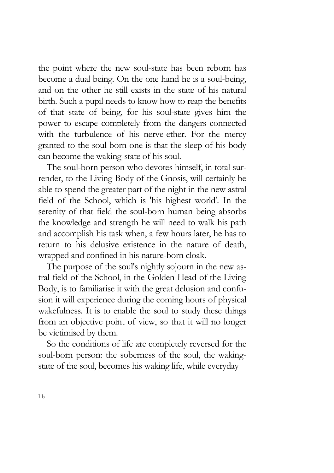the point where the new soul-state has been reborn has become a dual being. On the one hand he is a soul-being, and on the other he still exists in the state of his natural birth. Such a pupil needs to know how to reap the benefits of that state of being, for his soul-state gives him the power to escape completely from the dangers connected with the turbulence of his nerve-ether. For the mercy granted to the soul-born one is that the sleep of his body can become the waking-state of his soul.

The soul-born person who devotes himself, in total surrender, to the Living Body of the Gnosis, will certainly be able to spend the greater part of the night in the new astral field of the School, which is 'his highest world'. In the serenity of that field the soul-born human being absorbs the knowledge and strength he will need to walk his path and accomplish his task when, a few hours later, he has to return to his delusive existence in the nature of death, wrapped and confined in his nature-born cloak.

The purpose of the soul's nightly sojourn in the new astral field of the School, in the Golden Head of the Living Body, is to familiarise it with the great delusion and confusion it will experience during the coming hours of physical wakefulness. It is to enable the soul to study these things from an objective point of view, so that it will no longer be victimised by them.

So the conditions of life are completely reversed for the soul-born person: the soberness of the soul, the wakingstate of the soul, becomes his waking life, while everyday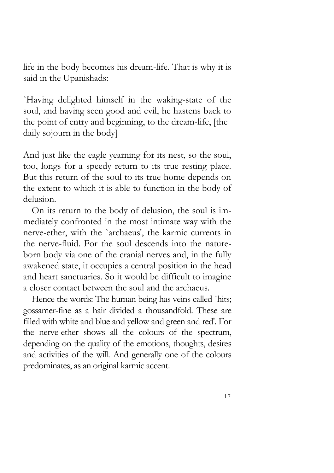life in the body becomes his dream-life. That is why it is said in the Upanishads:

`Having delighted himself in the waking-state of the soul, and having seen good and evil, he hastens back to the point of entry and beginning, to the dream-life, [the daily sojourn in the body]

And just like the eagle yearning for its nest, so the soul, too, longs for a speedy return to its true resting place. But this return of the soul to its true home depends on the extent to which it is able to function in the body of delusion.

On its return to the body of delusion, the soul is immediately confronted in the most intimate way with the nerve-ether, with the `archaeus', the karmic currents in the nerve-fluid. For the soul descends into the natureborn body via one of the cranial nerves and, in the fully awakened state, it occupies a central position in the head and heart sanctuaries. So it would be difficult to imagine a closer contact between the soul and the archaeus.

Hence the words: The human being has veins called `hits; gossamer-fine as a hair divided a thousandfold. These are filled with white and blue and yellow and green and red'. For the nerve-ether shows all the colours of the spectrum, depending on the quality of the emotions, thoughts, desires and activities of the will. And generally one of the colours predominates, as an original karmic accent.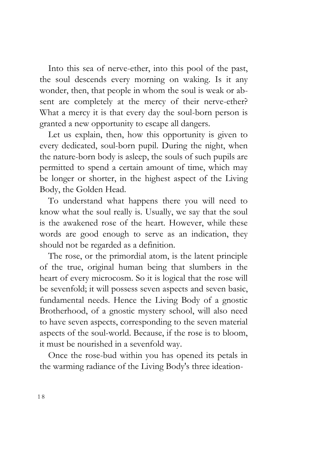Into this sea of nerve-ether, into this pool of the past, the soul descends every morning on waking. Is it any wonder, then, that people in whom the soul is weak or absent are completely at the mercy of their nerve-ether? What a mercy it is that every day the soul-born person is granted a new opportunity to escape all dangers.

Let us explain, then, how this opportunity is given to every dedicated, soul-born pupil. During the night, when the nature-born body is asleep, the souls of such pupils are permitted to spend a certain amount of time, which may be longer or shorter, in the highest aspect of the Living Body, the Golden Head.

To understand what happens there you will need to know what the soul really is. Usually, we say that the soul is the awakened rose of the heart. However, while these words are good enough to serve as an indication, they should not be regarded as a definition.

The rose, or the primordial atom, is the latent principle of the true, original human being that slumbers in the heart of every microcosm. So it is logical that the rose will be sevenfold; it will possess seven aspects and seven basic, fundamental needs. Hence the Living Body of a gnostic Brotherhood, of a gnostic mystery school, will also need to have seven aspects, corresponding to the seven material aspects of the soul-world. Because, if the rose is to bloom, it must be nourished in a sevenfold way.

Once the rose-bud within you has opened its petals in the warming radiance of the Living Body's three ideation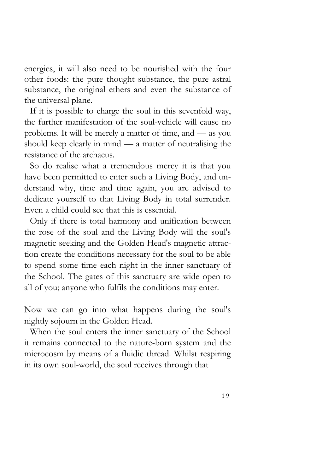energies, it will also need to be nourished with the four other foods: the pure thought substance, the pure astral substance, the original ethers and even the substance of the universal plane.

If it is possible to charge the soul in this sevenfold way, the further manifestation of the soul-vehicle will cause no problems. It will be merely a matter of time, and — as you should keep clearly in mind — a matter of neutralising the resistance of the archaeus.

So do realise what a tremendous mercy it is that you have been permitted to enter such a Living Body, and understand why, time and time again, you are advised to dedicate yourself to that Living Body in total surrender. Even a child could see that this is essential.

Only if there is total harmony and unification between the rose of the soul and the Living Body will the soul's magnetic seeking and the Golden Head's magnetic attraction create the conditions necessary for the soul to be able to spend some time each night in the inner sanctuary of the School. The gates of this sanctuary are wide open to all of you; anyone who fulfils the conditions may enter.

Now we can go into what happens during the soul's nightly sojourn in the Golden Head.

When the soul enters the inner sanctuary of the School it remains connected to the nature-born system and the microcosm by means of a fluidic thread. Whilst respiring in its own soul-world, the soul receives through that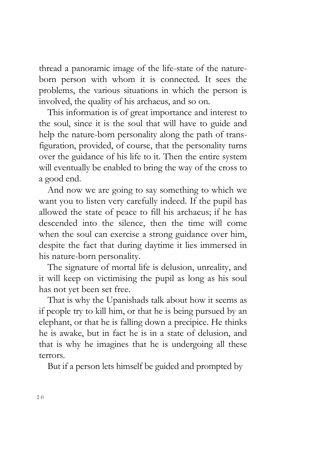thread a panoramic image of the life-state of the natureborn person with whom it is connected. It sees the problems, the various situations in which the person is involved, the quality of his archaeus, and so on.

This information is of great importance and interest to the soul, since it is the soul that will have to guide and help the nature-born personality along the path of transfiguration, provided, of course, that the personality turns over the guidance of his life to it. Then the entire system will eventually be enabled to bring the way of the cross to a good end.

And now we are going to say something to which we want you to listen very carefully indeed. If the pupil has allowed the state of peace to fill his archaeus; if he has descended into the silence, then the time will come when the soul can exercise a strong guidance over him, despite the fact that during daytime it lies immersed in his nature-born personality.

The signature of mortal life is delusion, unreality, and it will keep on victimising the pupil as long as his soul has not yet been set free.

That is why the Upanishads talk about how it seems as if people try to kill him, or that he is being pursued by an elephant, or that he is falling down a precipice. He thinks he is awake, but in fact he is in a state of delusion, and that is why he imagines that he is undergoing all these terrors.

But if a person lets himself be guided and prompted by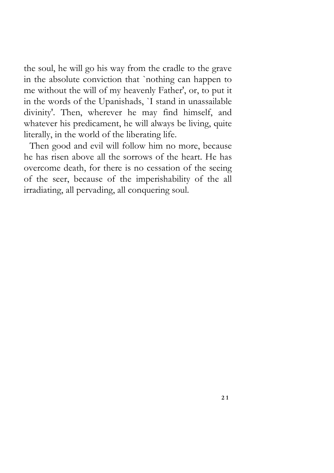the soul, he will go his way from the cradle to the grave in the absolute conviction that `nothing can happen to me without the will of my heavenly Father', or, to put it in the words of the Upanishads, `I stand in unassailable divinity'. Then, wherever he may find himself, and whatever his predicament, he will always be living, quite literally, in the world of the liberating life.

Then good and evil will follow him no more, because he has risen above all the sorrows of the heart. He has overcome death, for there is no cessation of the seeing of the seer, because of the imperishability of the all irradiating, all pervading, all conquering soul.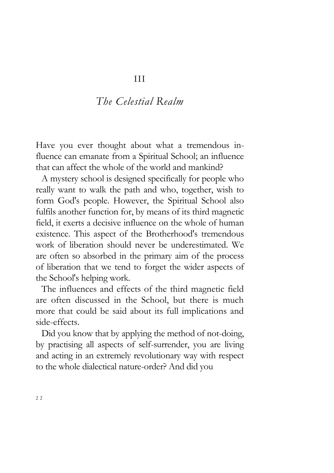#### *The Celestial Realm*

Have you ever thought about what a tremendous influence can emanate from a Spiritual School; an influence that can affect the whole of the world and mankind?

A mystery school is designed specifically for people who really want to walk the path and who, together, wish to form God's people. However, the Spiritual School also fulfils another function for, by means of its third magnetic field, it exerts a decisive influence on the whole of human existence. This aspect of the Brotherhood's tremendous work of liberation should never be underestimated. We are often so absorbed in the primary aim of the process of liberation that we tend to forget the wider aspects of the School's helping work.

The influences and effects of the third magnetic field are often discussed in the School, but there is much more that could be said about its full implications and side-effects.

Did you know that by applying the method of not-doing, by practising all aspects of self-surrender, you are living and acting in an extremely revolutionary way with respect to the whole dialectical nature-order? And did you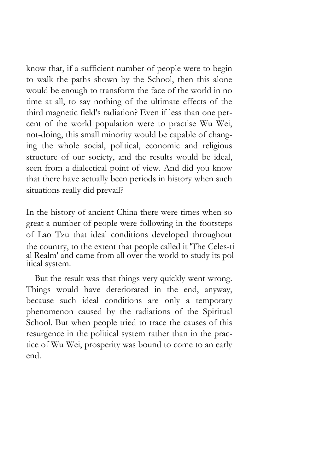know that, if a sufficient number of people were to begin to walk the paths shown by the School, then this alone would be enough to transform the face of the world in no time at all, to say nothing of the ultimate effects of the third magnetic field's radiation? Even if less than one percent of the world population were to practise Wu Wei, not-doing, this small minority would be capable of changing the whole social, political, economic and religious structure of our society, and the results would be ideal, seen from a dialectical point of view. And did you know that there have actually been periods in history when such situations really did prevail?

In the history of ancient China there were times when so great a number of people were following in the footsteps of Lao Tzu that ideal conditions developed throughout the country, to the extent that people called it 'The Celes-ti al Realm' and came from all over the world to study its pol itical system.

But the result was that things very quickly went wrong. Things would have deteriorated in the end, anyway, because such ideal conditions are only a temporary phenomenon caused by the radiations of the Spiritual School. But when people tried to trace the causes of this resurgence in the political system rather than in the practice of Wu Wei, prosperity was bound to come to an early end.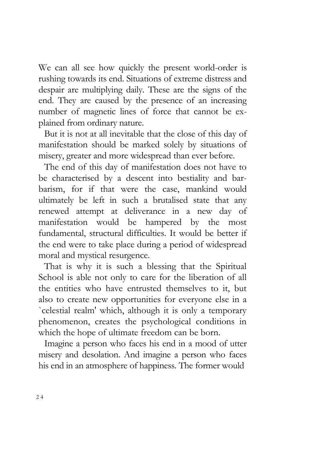We can all see how quickly the present world-order is rushing towards its end. Situations of extreme distress and despair are multiplying daily. These are the signs of the end. They are caused by the presence of an increasing number of magnetic lines of force that cannot be explained from ordinary nature.

But it is not at all inevitable that the close of this day of manifestation should be marked solely by situations of misery, greater and more widespread than ever before.

The end of this day of manifestation does not have to be characterised by a descent into bestiality and barbarism, for if that were the case, mankind would ultimately be left in such a brutalised state that any renewed attempt at deliverance in a new day of manifestation would be hampered by the most fundamental, structural difficulties. It would be better if the end were to take place during a period of widespread moral and mystical resurgence.

That is why it is such a blessing that the Spiritual School is able not only to care for the liberation of all the entities who have entrusted themselves to it, but also to create new opportunities for everyone else in a `celestial realm' which, although it is only a temporary phenomenon, creates the psychological conditions in which the hope of ultimate freedom can be born.

Imagine a person who faces his end in a mood of utter misery and desolation. And imagine a person who faces his end in an atmosphere of happiness. The former would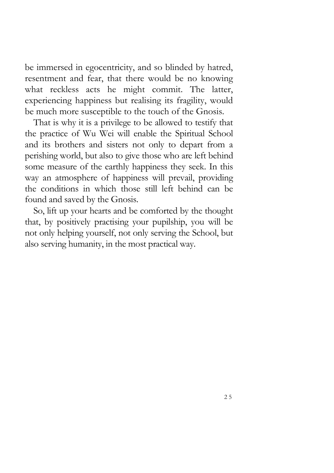be immersed in egocentricity, and so blinded by hatred, resentment and fear, that there would be no knowing what reckless acts he might commit. The latter, experiencing happiness but realising its fragility, would be much more susceptible to the touch of the Gnosis.

That is why it is a privilege to be allowed to testify that the practice of Wu Wei will enable the Spiritual School and its brothers and sisters not only to depart from a perishing world, but also to give those who are left behind some measure of the earthly happiness they seek. In this way an atmosphere of happiness will prevail, providing the conditions in which those still left behind can be found and saved by the Gnosis.

So, lift up your hearts and be comforted by the thought that, by positively practising your pupilship, you will be not only helping yourself, not only serving the School, but also serving humanity, in the most practical way.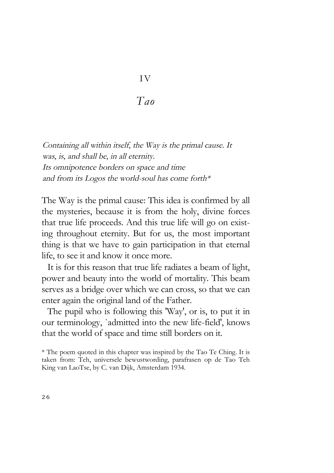# I V

*Tao* 

Containing all within itself, the Way is the primal cause. It was, is, and shall be, in all eternity. Its omnipotence borders on space and time and from its Logos the world-soul has come forth\*

The Way is the primal cause: This idea is confirmed by all the mysteries, because it is from the holy, divine forces that true life proceeds. And this true life will go on existing throughout eternity. But for us, the most important thing is that we have to gain participation in that eternal life, to see it and know it once more.

It is for this reason that true life radiates a beam of light, power and beauty into the world of mortality. This beam serves as a bridge over which we can cross, so that we can enter again the original land of the Father.

The pupil who is following this 'Way', or is, to put it in our terminology, `admitted into the new life-field', knows that the world of space and time still borders on it.

<sup>\*</sup> The poem quoted in this chapter was inspired by the Tao Te Ching. It is taken from: Teh, universele bewustwording, parafrasen op de Tao Teh King van LaoTse, by C. van Dijk, Amsterdam 1934.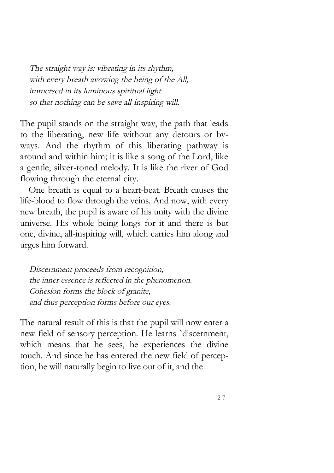The straight way is: vibrating in its rhythm, with every breath avowing the being of the All, immersed in its luminous spiritual light so that nothing can be save all-inspiring will.

The pupil stands on the straight way, the path that leads to the liberating, new life without any detours or byways. And the rhythm of this liberating pathway is around and within him; it is like a song of the Lord, like a gentle, silver-toned melody. It is like the river of God flowing through the eternal city.

One breath is equal to a heart-beat. Breath causes the life-blood to flow through the veins. And now, with every new breath, the pupil is aware of his unity with the divine universe. His whole being longs for it and there is but one, divine, all-inspiring will, which carries him along and urges him forward.

Discernment proceeds from recognition; the inner essence is reflected in the phenomenon. Cohesion forms the block of granite, and thus perception forms before our eyes.

The natural result of this is that the pupil will now enter a new field of sensory perception. He learns `discernment, which means that he sees, he experiences the divine touch. And since he has entered the new field of perception, he will naturally begin to live out of it, and the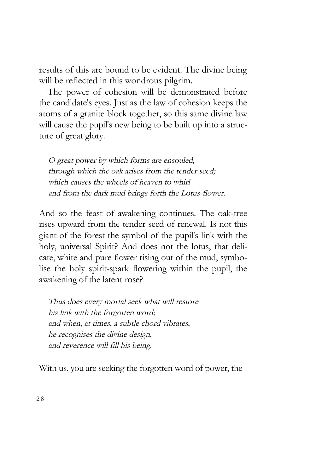results of this are bound to be evident. The divine being will be reflected in this wondrous pilgrim.

The power of cohesion will be demonstrated before the candidate's eyes. Just as the law of cohesion keeps the atoms of a granite block together, so this same divine law will cause the pupil's new being to be built up into a structure of great glory.

O great power by which forms are ensouled, through which the oak arises from the tender seed; which causes the wheels of heaven to whirl and from the dark mud brings forth the Lotus-flower.

And so the feast of awakening continues. The oak-tree rises upward from the tender seed of renewal. Is not this giant of the forest the symbol of the pupil's link with the holy, universal Spirit? And does not the lotus, that delicate, white and pure flower rising out of the mud, symbolise the holy spirit-spark flowering within the pupil, the awakening of the latent rose?

Thus does every mortal seek what will restore his link with the forgotten word; and when, at times, a subtle chord vibrates, he recognises the divine design, and reverence will fill his being.

With us, you are seeking the forgotten word of power, the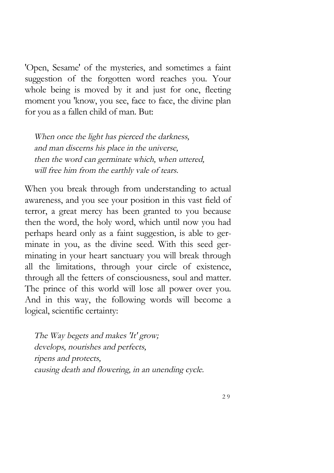'Open, Sesame' of the mysteries, and sometimes a faint suggestion of the forgotten word reaches you. Your whole being is moved by it and just for one, fleeting moment you 'know, you see, face to face, the divine plan for you as a fallen child of man. But:

When once the light has pierced the darkness, and man discerns his place in the universe, then the word can germinate which, when uttered, will free him from the earthly vale of tears.

When you break through from understanding to actual awareness, and you see your position in this vast field of terror, a great mercy has been granted to you because then the word, the holy word, which until now you had perhaps heard only as a faint suggestion, is able to germinate in you, as the divine seed. With this seed germinating in your heart sanctuary you will break through all the limitations, through your circle of existence, through all the fetters of consciousness, soul and matter. The prince of this world will lose all power over you. And in this way, the following words will become a logical, scientific certainty:

The Way begets and makes 'It' grow; develops, nourishes and perfects, ripens and protects, causing death and flowering, in an unending cycle.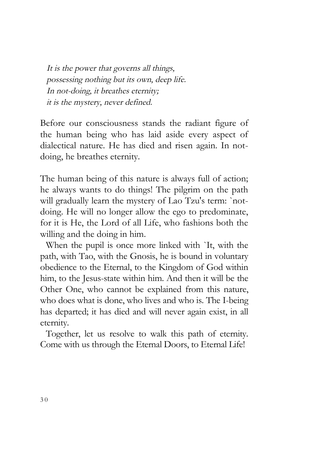It is the power that governs all things, possessing nothing but its own, deep life. In not-doing, it breathes eternity; it is the mystery, never defined.

Before our consciousness stands the radiant figure of the human being who has laid aside every aspect of dialectical nature. He has died and risen again. In notdoing, he breathes eternity.

The human being of this nature is always full of action; he always wants to do things! The pilgrim on the path will gradually learn the mystery of Lao Tzu's term: `notdoing. He will no longer allow the ego to predominate, for it is He, the Lord of all Life, who fashions both the willing and the doing in him.

When the pupil is once more linked with `It, with the path, with Tao, with the Gnosis, he is bound in voluntary obedience to the Eternal, to the Kingdom of God within him, to the Jesus-state within him. And then it will be the Other One, who cannot be explained from this nature, who does what is done, who lives and who is. The I-being has departed; it has died and will never again exist, in all eternity.

Together, let us resolve to walk this path of eternity. Come with us through the Eternal Doors, to Eternal Life!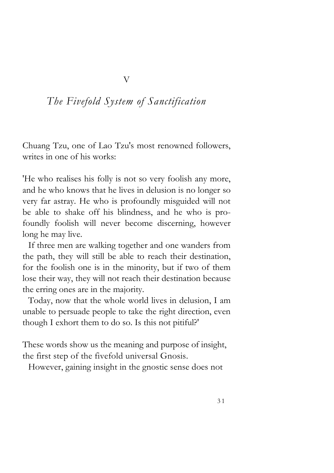#### *The Fivefold System of Sanctification*

V

Chuang Tzu, one of Lao Tzu's most renowned followers, writes in one of his works:

'He who realises his folly is not so very foolish any more, and he who knows that he lives in delusion is no longer so very far astray. He who is profoundly misguided will not be able to shake off his blindness, and he who is profoundly foolish will never become discerning, however long he may live.

If three men are walking together and one wanders from the path, they will still be able to reach their destination, for the foolish one is in the minority, but if two of them lose their way, they will not reach their destination because the erring ones are in the majority.

Today, now that the whole world lives in delusion, I am unable to persuade people to take the right direction, even though I exhort them to do so. Is this not pitiful?'

These words show us the meaning and purpose of insight, the first step of the fivefold universal Gnosis.

However, gaining insight in the gnostic sense does not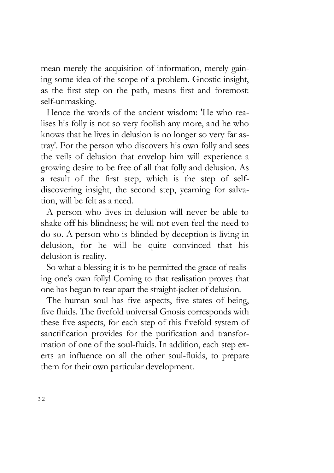mean merely the acquisition of information, merely gaining some idea of the scope of a problem. Gnostic insight, as the first step on the path, means first and foremost: self-unmasking.

Hence the words of the ancient wisdom: 'He who realises his folly is not so very foolish any more, and he who knows that he lives in delusion is no longer so very far astray'. For the person who discovers his own folly and sees the veils of delusion that envelop him will experience a growing desire to be free of all that folly and delusion. As a result of the first step, which is the step of selfdiscovering insight, the second step, yearning for salvation, will be felt as a need.

A person who lives in delusion will never be able to shake off his blindness; he will not even feel the need to do so. A person who is blinded by deception is living in delusion, for he will be quite convinced that his delusion is reality.

So what a blessing it is to be permitted the grace of realising one's own folly! Coming to that realisation proves that one has begun to tear apart the straight-jacket of delusion.

The human soul has five aspects, five states of being, five fluids. The fivefold universal Gnosis corresponds with these five aspects, for each step of this fivefold system of sanctification provides for the purification and transformation of one of the soul-fluids. In addition, each step exerts an influence on all the other soul-fluids, to prepare them for their own particular development.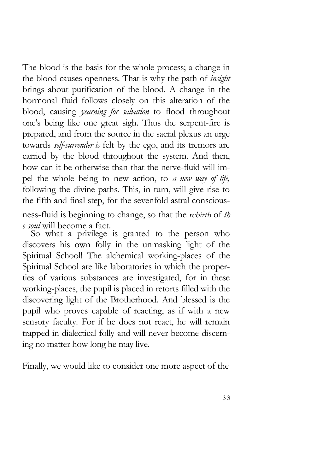The blood is the basis for the whole process; a change in the blood causes openness. That is why the path of *insight* brings about purification of the blood. A change in the hormonal fluid follows closely on this alteration of the blood, causing *yearning for salvation* to flood throughout one's being like one great sigh. Thus the serpent-fire is prepared, and from the source in the sacral plexus an urge towards *self-surrender is* felt by the ego, and its tremors are carried by the blood throughout the system. And then, how can it be otherwise than that the nerve-fluid will impel the whole being to new action, to *a new way of life,* following the divine paths. This, in turn, will give rise to the fifth and final step, for the sevenfold astral conscious-

ness-fluid is beginning to change, so that the rebirth of *th e soul* will become a fact.

So what a privilege is granted to the person who discovers his own folly in the unmasking light of the Spiritual School! The alchemical working-places of the Spiritual School are like laboratories in which the properties of various substances are investigated, for in these working-places, the pupil is placed in retorts filled with the discovering light of the Brotherhood. And blessed is the pupil who proves capable of reacting, as if with a new sensory faculty. For if he does not react, he will remain trapped in dialectical folly and will never become discerning no matter how long he may live.

Finally, we would like to consider one more aspect of the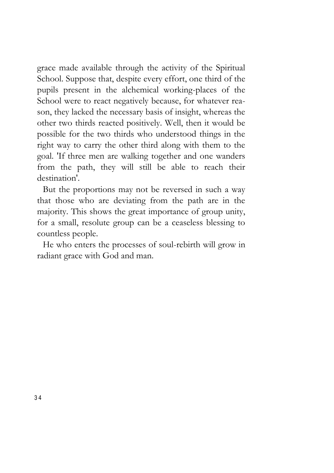grace made available through the activity of the Spiritual School. Suppose that, despite every effort, one third of the pupils present in the alchemical working-places of the School were to react negatively because, for whatever reason, they lacked the necessary basis of insight, whereas the other two thirds reacted positively. Well, then it would be possible for the two thirds who understood things in the right way to carry the other third along with them to the goal. 'If three men are walking together and one wanders from the path, they will still be able to reach their destination'.

But the proportions may not be reversed in such a way that those who are deviating from the path are in the majority. This shows the great importance of group unity, for a small, resolute group can be a ceaseless blessing to countless people.

He who enters the processes of soul-rebirth will grow in radiant grace with God and man.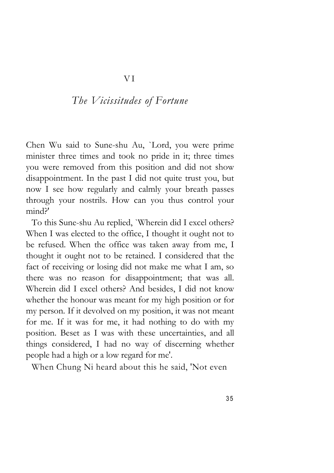#### *The Vicissitudes of Fortune*

Chen Wu said to Sune-shu Au, `Lord, you were prime minister three times and took no pride in it; three times you were removed from this position and did not show disappointment. In the past I did not quite trust you, but now I see how regularly and calmly your breath passes through your nostrils. How can you thus control your mind?'

To this Sune-shu Au replied, `Wherein did I excel others? When I was elected to the office, I thought it ought not to be refused. When the office was taken away from me, I thought it ought not to be retained. I considered that the fact of receiving or losing did not make me what I am, so there was no reason for disappointment; that was all. Wherein did I excel others? And besides, I did not know whether the honour was meant for my high position or for my person. If it devolved on my position, it was not meant for me. If it was for me, it had nothing to do with my position. Beset as I was with these uncertainties, and all things considered, I had no way of discerning whether people had a high or a low regard for me'.

When Chung Ni heard about this he said, 'Not even

3 5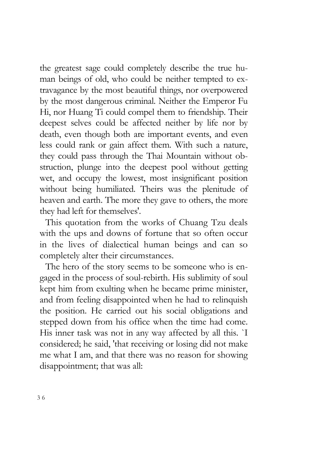the greatest sage could completely describe the true human beings of old, who could be neither tempted to extravagance by the most beautiful things, nor overpowered by the most dangerous criminal. Neither the Emperor Fu Hi, nor Huang Ti could compel them to friendship. Their deepest selves could be affected neither by life nor by death, even though both are important events, and even less could rank or gain affect them. With such a nature, they could pass through the Thai Mountain without obstruction, plunge into the deepest pool without getting wet, and occupy the lowest, most insignificant position without being humiliated. Theirs was the plenitude of heaven and earth. The more they gave to others, the more they had left for themselves'.

This quotation from the works of Chuang Tzu deals with the ups and downs of fortune that so often occur in the lives of dialectical human beings and can so completely alter their circumstances.

The hero of the story seems to be someone who is engaged in the process of soul-rebirth. His sublimity of soul kept him from exulting when he became prime minister, and from feeling disappointed when he had to relinquish the position. He carried out his social obligations and stepped down from his office when the time had come. His inner task was not in any way affected by all this. `I considered; he said, 'that receiving or losing did not make me what I am, and that there was no reason for showing disappointment; that was all: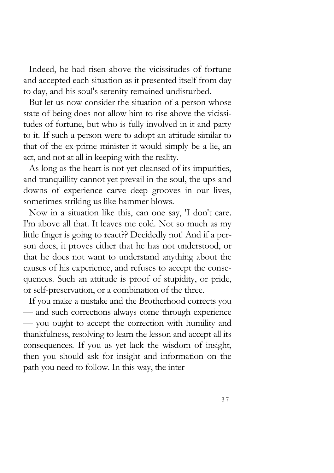Indeed, he had risen above the vicissitudes of fortune and accepted each situation as it presented itself from day to day, and his soul's serenity remained undisturbed.

But let us now consider the situation of a person whose state of being does not allow him to rise above the vicissitudes of fortune, but who is fully involved in it and party to it. If such a person were to adopt an attitude similar to that of the ex-prime minister it would simply be a lie, an act, and not at all in keeping with the reality.

As long as the heart is not yet cleansed of its impurities, and tranquillity cannot yet prevail in the soul, the ups and downs of experience carve deep grooves in our lives, sometimes striking us like hammer blows.

Now in a situation like this, can one say, 'I don't care. I'm above all that. It leaves me cold. Not so much as my little finger is going to react?? Decidedly not! And if a person does, it proves either that he has not understood, or that he does not want to understand anything about the causes of his experience, and refuses to accept the consequences. Such an attitude is proof of stupidity, or pride, or self-preservation, or a combination of the three.

If you make a mistake and the Brotherhood corrects you — and such corrections always come through experience — you ought to accept the correction with humility and thankfulness, resolving to learn the lesson and accept all its consequences. If you as yet lack the wisdom of insight, then you should ask for insight and information on the path you need to follow. In this way, the inter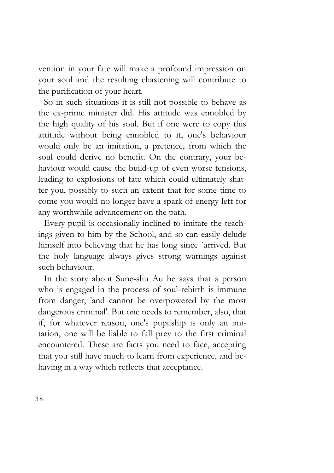vention in your fate will make a profound impression on your soul and the resulting chastening will contribute to the purification of your heart.

So in such situations it is still not possible to behave as the ex-prime minister did. His attitude was ennobled by the high quality of his soul. But if one were to copy this attitude without being ennobled to it, one's behaviour would only be an imitation, a pretence, from which the soul could derive no benefit. On the contrary, your behaviour would cause the build-up of even worse tensions, leading to explosions of fate which could ultimately shatter you, possibly to such an extent that for some time to come you would no longer have a spark of energy left for any worthwhile advancement on the path.

Every pupil is occasionally inclined to imitate the teachings given to him by the School, and so can easily delude himself into believing that he has long since `arrived. But the holy language always gives strong warnings against such behaviour.

In the story about Sune-shu Au he says that a person who is engaged in the process of soul-rebirth is immune from danger, 'and cannot be overpowered by the most dangerous criminal'. But one needs to remember, also, that if, for whatever reason, one's pupilship is only an imitation, one will be liable to fall prey to the first criminal encountered. These are facts you need to face, accepting that you still have much to learn from experience, and behaving in a way which reflects that acceptance.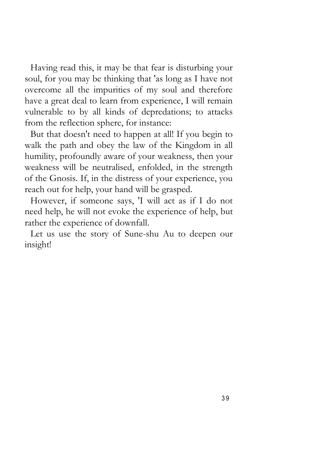Having read this, it may be that fear is disturbing your soul, for you may be thinking that 'as long as I have not overcome all the impurities of my soul and therefore have a great deal to learn from experience, I will remain vulnerable to by all kinds of depredations; to attacks from the reflection sphere, for instance:

But that doesn't need to happen at all! If you begin to walk the path and obey the law of the Kingdom in all humility, profoundly aware of your weakness, then your weakness will be neutralised, enfolded, in the strength of the Gnosis. If, in the distress of your experience, you reach out for help, your hand will be grasped.

However, if someone says, 'I will act as if I do not need help, he will not evoke the experience of help, but rather the experience of downfall.

Let us use the story of Sune-shu Au to deepen our insight!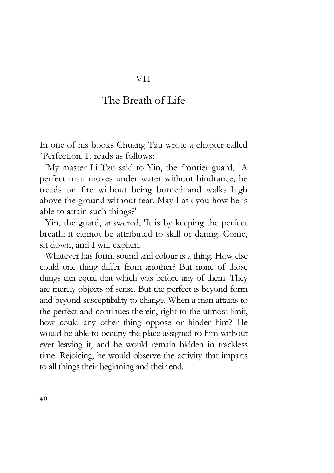#### VII

#### The Breath of Life

In one of his books Chuang Tzu wrote a chapter called `Perfection. It reads as follows:

'My master Li Tzu said to Yin, the frontier guard, `A perfect man moves under water without hindrance; he treads on fire without being burned and walks high above the ground without fear. May I ask you how he is able to attain such things?'

Yin, the guard, answered, 'It is by keeping the perfect breath; it cannot be attributed to skill or daring. Come, sit down, and I will explain.

Whatever has form, sound and colour is a thing. How else could one thing differ from another? But none of those things can equal that which was before any of them. They are merely objects of sense. But the perfect is beyond form and beyond susceptibility to change. When a man attains to the perfect and continues therein, right to the utmost limit, how could any other thing oppose or hinder him? He would be able to occupy the place assigned to him without ever leaving it, and he would remain hidden in trackless time. Rejoicing, he would observe the activity that imparts to all things their beginning and their end.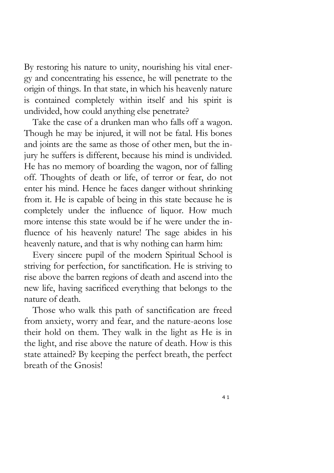By restoring his nature to unity, nourishing his vital energy and concentrating his essence, he will penetrate to the origin of things. In that state, in which his heavenly nature is contained completely within itself and his spirit is undivided, how could anything else penetrate?

Take the case of a drunken man who falls off a wagon. Though he may be injured, it will not be fatal. His bones and joints are the same as those of other men, but the injury he suffers is different, because his mind is undivided. He has no memory of boarding the wagon, nor of falling off. Thoughts of death or life, of terror or fear, do not enter his mind. Hence he faces danger without shrinking from it. He is capable of being in this state because he is completely under the influence of liquor. How much more intense this state would be if he were under the influence of his heavenly nature! The sage abides in his heavenly nature, and that is why nothing can harm him:

Every sincere pupil of the modern Spiritual School is striving for perfection, for sanctification. He is striving to rise above the barren regions of death and ascend into the new life, having sacrificed everything that belongs to the nature of death.

Those who walk this path of sanctification are freed from anxiety, worry and fear, and the nature-aeons lose their hold on them. They walk in the light as He is in the light, and rise above the nature of death. How is this state attained? By keeping the perfect breath, the perfect breath of the Gnosis!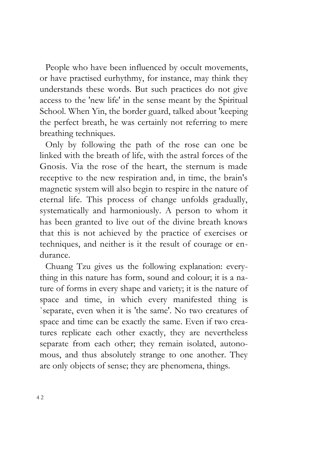People who have been influenced by occult movements, or have practised eurhythmy, for instance, may think they understands these words. But such practices do not give access to the 'new life' in the sense meant by the Spiritual School. When Yin, the border guard, talked about 'keeping the perfect breath, he was certainly not referring to mere breathing techniques.

Only by following the path of the rose can one be linked with the breath of life, with the astral forces of the Gnosis. Via the rose of the heart, the sternum is made receptive to the new respiration and, in time, the brain's magnetic system will also begin to respire in the nature of eternal life. This process of change unfolds gradually, systematically and harmoniously. A person to whom it has been granted to live out of the divine breath knows that this is not achieved by the practice of exercises or techniques, and neither is it the result of courage or endurance.

Chuang Tzu gives us the following explanation: everything in this nature has form, sound and colour; it is a nature of forms in every shape and variety; it is the nature of space and time, in which every manifested thing is `separate, even when it is 'the same'. No two creatures of space and time can be exactly the same. Even if two creatures replicate each other exactly, they are nevertheless separate from each other; they remain isolated, autonomous, and thus absolutely strange to one another. They are only objects of sense; they are phenomena, things.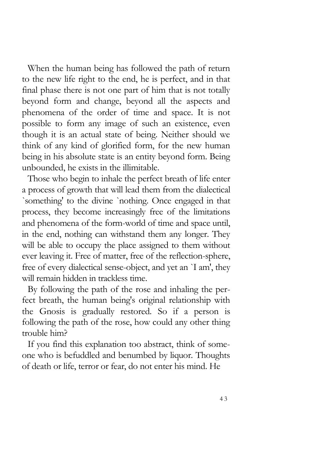When the human being has followed the path of return to the new life right to the end, he is perfect, and in that final phase there is not one part of him that is not totally beyond form and change, beyond all the aspects and phenomena of the order of time and space. It is not possible to form any image of such an existence, even though it is an actual state of being. Neither should we think of any kind of glorified form, for the new human being in his absolute state is an entity beyond form. Being unbounded, he exists in the illimitable.

Those who begin to inhale the perfect breath of life enter a process of growth that will lead them from the dialectical `something' to the divine `nothing. Once engaged in that process, they become increasingly free of the limitations and phenomena of the form-world of time and space until, in the end, nothing can withstand them any longer. They will be able to occupy the place assigned to them without ever leaving it. Free of matter, free of the reflection-sphere, free of every dialectical sense-object, and yet an `I am', they will remain hidden in trackless time.

By following the path of the rose and inhaling the perfect breath, the human being's original relationship with the Gnosis is gradually restored. So if a person is following the path of the rose, how could any other thing trouble him?

If you find this explanation too abstract, think of someone who is befuddled and benumbed by liquor. Thoughts of death or life, terror or fear, do not enter his mind. He